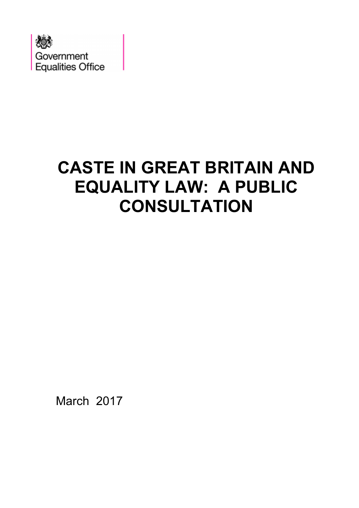

### **CASTE IN GREAT BRITAIN AND EQUALITY LAW: A PUBLIC CONSULTATION**

<span id="page-0-0"></span>March 2017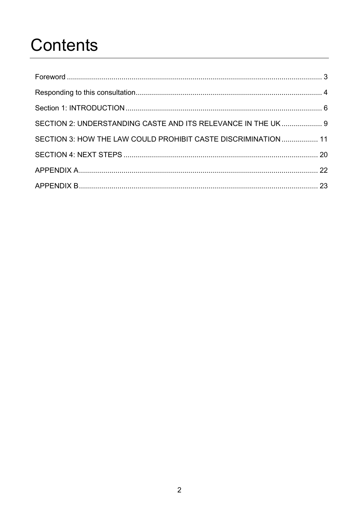## **Contents**

| SECTION 2: UNDERSTANDING CASTE AND ITS RELEVANCE IN THE UK 9   |  |
|----------------------------------------------------------------|--|
| SECTION 3: HOW THE LAW COULD PROHIBIT CASTE DISCRIMINATION  11 |  |
|                                                                |  |
|                                                                |  |
|                                                                |  |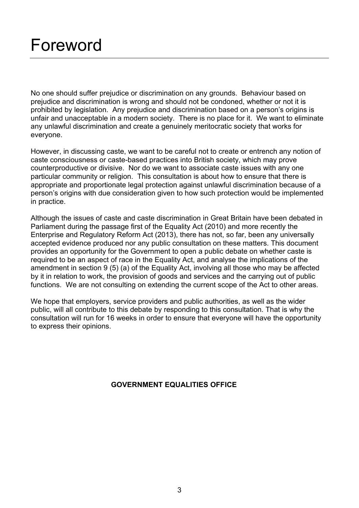### <span id="page-2-0"></span>Foreword

No one should suffer prejudice or discrimination on any grounds. Behaviour based on prejudice and discrimination is wrong and should not be condoned, whether or not it is prohibited by legislation. Any prejudice and discrimination based on a person's origins is unfair and unacceptable in a modern society. There is no place for it. We want to eliminate any unlawful discrimination and create a genuinely meritocratic society that works for everyone.

However, in discussing caste, we want to be careful not to create or entrench any notion of caste consciousness or caste-based practices into British society, which may prove counterproductive or divisive. Nor do we want to associate caste issues with any one particular community or religion. This consultation is about how to ensure that there is appropriate and proportionate legal protection against unlawful discrimination because of a person's origins with due consideration given to how such protection would be implemented in practice.

Although the issues of caste and caste discrimination in Great Britain have been debated in Parliament during the passage first of the Equality Act (2010) and more recently the Enterprise and Regulatory Reform Act (2013), there has not, so far, been any universally accepted evidence produced nor any public consultation on these matters. This document provides an opportunity for the Government to open a public debate on whether caste is required to be an aspect of race in the Equality Act, and analyse the implications of the amendment in section 9 (5) (a) of the Equality Act, involving all those who may be affected by it in relation to work, the provision of goods and services and the carrying out of public functions. We are not consulting on extending the current scope of the Act to other areas.

We hope that employers, service providers and public authorities, as well as the wider public, will all contribute to this debate by responding to this consultation. That is why the consultation will run for 16 weeks in order to ensure that everyone will have the opportunity to express their opinions.

#### **GOVERNMENT EQUALITIES OFFICE**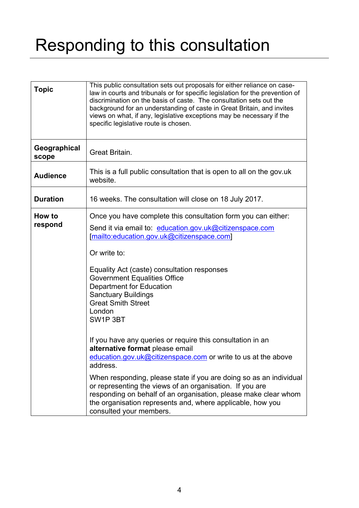# <span id="page-3-0"></span>Responding to this consultation

| <b>Topic</b>          | This public consultation sets out proposals for either reliance on case-<br>law in courts and tribunals or for specific legislation for the prevention of<br>discrimination on the basis of caste. The consultation sets out the<br>background for an understanding of caste in Great Britain, and invites<br>views on what, if any, legislative exceptions may be necessary if the<br>specific legislative route is chosen. |
|-----------------------|------------------------------------------------------------------------------------------------------------------------------------------------------------------------------------------------------------------------------------------------------------------------------------------------------------------------------------------------------------------------------------------------------------------------------|
| Geographical<br>scope | Great Britain.                                                                                                                                                                                                                                                                                                                                                                                                               |
| <b>Audience</b>       | This is a full public consultation that is open to all on the gov uk<br>website.                                                                                                                                                                                                                                                                                                                                             |
| <b>Duration</b>       | 16 weeks. The consultation will close on 18 July 2017.                                                                                                                                                                                                                                                                                                                                                                       |
| How to<br>respond     | Once you have complete this consultation form you can either:<br>Send it via email to: education.gov.uk@citizenspace.com<br>[mailto:education.gov.uk@citizenspace.com]<br>Or write to:<br>Equality Act (caste) consultation responses<br><b>Government Equalities Office</b><br>Department for Education<br><b>Sanctuary Buildings</b><br><b>Great Smith Street</b><br>London<br>SW <sub>1</sub> P 3BT                       |
|                       | If you have any queries or require this consultation in an<br>alternative format please email<br>education.gov.uk@citizenspace.com or write to us at the above<br>address.                                                                                                                                                                                                                                                   |
|                       | When responding, please state if you are doing so as an individual<br>or representing the views of an organisation. If you are<br>responding on behalf of an organisation, please make clear whom<br>the organisation represents and, where applicable, how you<br>consulted your members.                                                                                                                                   |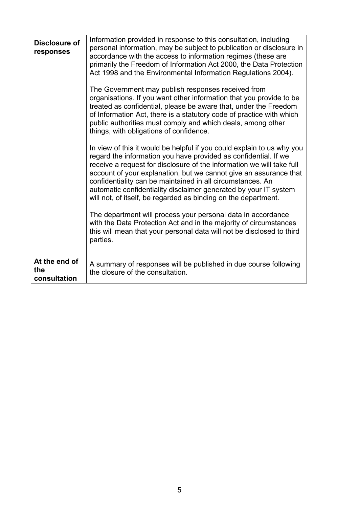| Disclosure of<br>responses           | Information provided in response to this consultation, including<br>personal information, may be subject to publication or disclosure in<br>accordance with the access to information regimes (these are<br>primarily the Freedom of Information Act 2000, the Data Protection<br>Act 1998 and the Environmental Information Regulations 2004).<br>The Government may publish responses received from<br>organisations. If you want other information that you provide to be<br>treated as confidential, please be aware that, under the Freedom<br>of Information Act, there is a statutory code of practice with which<br>public authorities must comply and which deals, among other<br>things, with obligations of confidence.<br>In view of this it would be helpful if you could explain to us why you<br>regard the information you have provided as confidential. If we<br>receive a request for disclosure of the information we will take full<br>account of your explanation, but we cannot give an assurance that<br>confidentiality can be maintained in all circumstances. An<br>automatic confidentiality disclaimer generated by your IT system<br>will not, of itself, be regarded as binding on the department.<br>The department will process your personal data in accordance<br>with the Data Protection Act and in the majority of circumstances<br>this will mean that your personal data will not be disclosed to third<br>parties. |
|--------------------------------------|-------------------------------------------------------------------------------------------------------------------------------------------------------------------------------------------------------------------------------------------------------------------------------------------------------------------------------------------------------------------------------------------------------------------------------------------------------------------------------------------------------------------------------------------------------------------------------------------------------------------------------------------------------------------------------------------------------------------------------------------------------------------------------------------------------------------------------------------------------------------------------------------------------------------------------------------------------------------------------------------------------------------------------------------------------------------------------------------------------------------------------------------------------------------------------------------------------------------------------------------------------------------------------------------------------------------------------------------------------------------------------------------------------------------------------------------------------------|
| At the end of<br>the<br>consultation | A summary of responses will be published in due course following<br>the closure of the consultation.                                                                                                                                                                                                                                                                                                                                                                                                                                                                                                                                                                                                                                                                                                                                                                                                                                                                                                                                                                                                                                                                                                                                                                                                                                                                                                                                                        |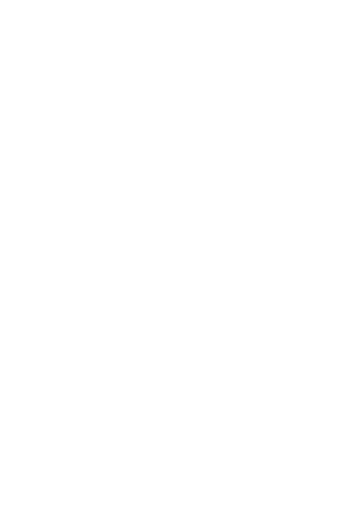## Contents

| SECTION 2: UNDERSTANDING CASTE AND ITS RELEVANCE IN THE UK 9   |  |
|----------------------------------------------------------------|--|
| SECTION 3: HOW THE LAW COULD PROHIBIT CASTE DISCRIMINATION  11 |  |
|                                                                |  |
|                                                                |  |
|                                                                |  |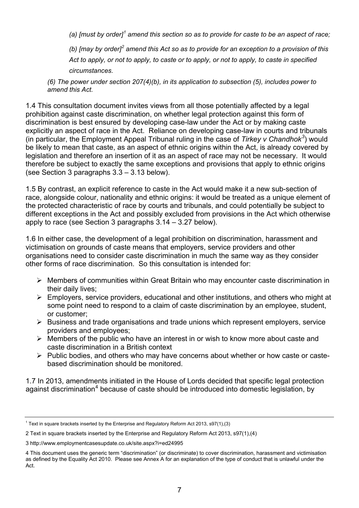*(a) [must by order][1](#page-0-0) amend this section so as to provide for caste to be an aspect of race;* 

*(b) [may by order][2](#page-6-0) amend this Act so as to provide for an exception to a provision of this Act to apply, or not to apply, to caste or to apply, or not to apply, to caste in specified circumstances.* 

*(6) The power under section 207(4)(b), in its application to subsection (5), includes power to amend this Act.*

1.4 This consultation document invites views from all those potentially affected by a legal prohibition against caste discrimination, on whether legal protection against this form of discrimination is best ensured by developing case-law under the Act or by making caste explicitly an aspect of race in the Act. Reliance on developing case-law in courts and tribunals (in particular, the Employment Appeal Tribunal ruling in the case of *Tirkey v Chandhok[3](#page-6-1)* ) would be likely to mean that caste, as an aspect of ethnic origins within the Act, is already covered by legislation and therefore an insertion of it as an aspect of race may not be necessary. It would therefore be subject to exactly the same exceptions and provisions that apply to ethnic origins (see Section 3 paragraphs 3.3 – 3.13 below).

1.5 By contrast, an explicit reference to caste in the Act would make it a new sub-section of race, alongside colour, nationality and ethnic origins: it would be treated as a unique element of the protected characteristic of race by courts and tribunals, and could potentially be subject to different exceptions in the Act and possibly excluded from provisions in the Act which otherwise apply to race (see Section 3 paragraphs 3.14 – 3.27 below).

1.6 In either case, the development of a legal prohibition on discrimination, harassment and victimisation on grounds of caste means that employers, service providers and other organisations need to consider caste discrimination in much the same way as they consider other forms of race discrimination. So this consultation is intended for:

- Members of communities within Great Britain who may encounter caste discrimination in their daily lives;
- $\triangleright$  Employers, service providers, educational and other institutions, and others who might at some point need to respond to a claim of caste discrimination by an employee, student, or customer;
- $\triangleright$  Business and trade organisations and trade unions which represent employers, service providers and employees;
- $\triangleright$  Members of the public who have an interest in or wish to know more about caste and caste discrimination in a British context
- $\triangleright$  Public bodies, and others who may have concerns about whether or how caste or castebased discrimination should be monitored.

1.7 In 2013, amendments initiated in the House of Lords decided that specific legal protection against discrimination<sup>[4](#page-6-2)</sup> because of caste should be introduced into domestic legislation, by

<sup>&</sup>lt;sup>1</sup> Text in square brackets inserted by the Enterprise and Regulatory Reform Act 2013, s97(1), (3)

<span id="page-6-0"></span><sup>2</sup> Text in square brackets inserted by the Enterprise and Regulatory Reform Act 2013, s97(1),(4)

<span id="page-6-1"></span><sup>3</sup> http://www.employmentcasesupdate.co.uk/site.aspx?i=ed24995

<span id="page-6-2"></span><sup>4</sup> This document uses the generic term "discrimination" (or discriminate) to cover discrimination, harassment and victimisation as defined by the Equality Act 2010. Please see Annex A for an explanation of the type of conduct that is unlawful under the Act.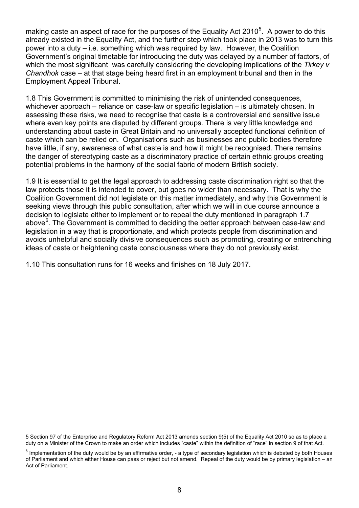making caste an aspect of race for the purposes of the Equality Act 2010<sup>[5](#page-6-0)</sup>. A power to do this already existed in the Equality Act, and the further step which took place in 2013 was to turn this power into a duty – i.e. something which was required by law. However, the Coalition Government's original timetable for introducing the duty was delayed by a number of factors, of which the most significant was carefully considering the developing implications of the *Tirkey v Chandhok* case – at that stage being heard first in an employment tribunal and then in the Employment Appeal Tribunal.

1.8 This Government is committed to minimising the risk of unintended consequences, whichever approach – reliance on case-law or specific legislation – is ultimately chosen. In assessing these risks, we need to recognise that caste is a controversial and sensitive issue where even key points are disputed by different groups. There is very little knowledge and understanding about caste in Great Britain and no universally accepted functional definition of caste which can be relied on. Organisations such as businesses and public bodies therefore have little, if any, awareness of what caste is and how it might be recognised. There remains the danger of stereotyping caste as a discriminatory practice of certain ethnic groups creating potential problems in the harmony of the social fabric of modern British society.

1.9 It is essential to get the legal approach to addressing caste discrimination right so that the law protects those it is intended to cover, but goes no wider than necessary. That is why the Coalition Government did not legislate on this matter immediately, and why this Government is seeking views through this public consultation, after which we will in due course announce a decision to legislate either to implement or to repeal the duty mentioned in paragraph 1.7 above<sup>[6](#page-7-0)</sup>. The Government is committed to deciding the better approach between case-law and legislation in a way that is proportionate, and which protects people from discrimination and avoids unhelpful and socially divisive consequences such as promoting, creating or entrenching ideas of caste or heightening caste consciousness where they do not previously exist.

1.10 This consultation runs for 16 weeks and finishes on 18 July 2017.

<span id="page-7-1"></span><sup>5</sup> Section 97 of the Enterprise and Regulatory Reform Act 2013 amends section 9(5) of the Equality Act 2010 so as to place a duty on a Minister of the Crown to make an order which includes "caste" within the definition of "race" in section 9 of that Act.

<span id="page-7-0"></span> $6$  Implementation of the duty would be by an affirmative order, - a type of secondary legislation which is debated by both Houses of Parliament and which either House can pass or reject but not amend. Repeal of the duty would be by primary legislation – an Act of Parliament.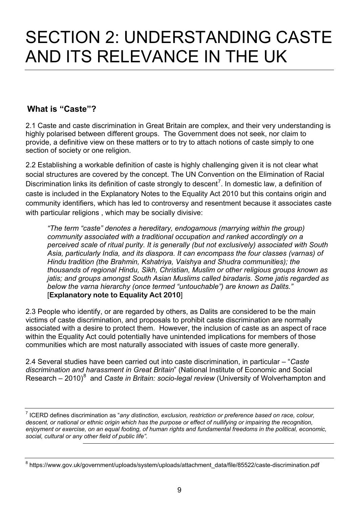## <span id="page-8-0"></span>SECTION 2: UNDERSTANDING CASTE AND ITS RELEVANCE IN THE UK

#### **What is "Caste"?**

2.1 Caste and caste discrimination in Great Britain are complex, and their very understanding is highly polarised between different groups. The Government does not seek, nor claim to provide, a definitive view on these matters or to try to attach notions of caste simply to one section of society or one religion.

2.2 Establishing a workable definition of caste is highly challenging given it is not clear what social structures are covered by the concept. The UN Convention on the Elimination of Racial Discrimination links its definition of caste strongly to descent<sup>[7](#page-7-1)</sup>. In domestic law, a definition of caste is included in the Explanatory Notes to the Equality Act 2010 but this contains origin and community identifiers, which has led to controversy and resentment because it associates caste with particular religions , which may be socially divisive:

*"The term "caste" denotes a hereditary, endogamous (marrying within the group) community associated with a traditional occupation and ranked accordingly on a perceived scale of ritual purity. It is generally (but not exclusively) associated with South Asia, particularly India, and its diaspora. It can encompass the four classes (varnas) of Hindu tradition (the Brahmin, Kshatriya, Vaishya and Shudra communities); the thousands of regional Hindu, Sikh, Christian, Muslim or other religious groups known as jatis; and groups amongst South Asian Muslims called biradaris. Some jatis regarded as below the varna hierarchy (once termed "untouchable") are known as Dalits."*  [**Explanatory note to Equality Act 2010**]

2.3 People who identify, or are regarded by others, as Dalits are considered to be the main victims of caste discrimination, and proposals to prohibit caste discrimination are normally associated with a desire to protect them. However, the inclusion of caste as an aspect of race within the Equality Act could potentially have unintended implications for members of those communities which are most naturally associated with issues of caste more generally.

2.4 Several studies have been carried out into caste discrimination, in particular – "*Caste discrimination and harassment in Great Britain*" (National Institute of Economic and Social Research – 2010)<sup>[8](#page-8-1)</sup> and *Caste in Britain: socio-legal review* (University of Wolverhampton and

<sup>7</sup> ICERD defines discrimination as "*any distinction, exclusion, restriction or preference based on race, colour, descent, or national or ethnic origin which has the purpose or effect of nullifying or impairing the recognition, enjoyment or exercise, on an equal footing, of human rights and fundamental freedoms in the political, economic, social, cultural or any other field of public life".*

<span id="page-8-2"></span><span id="page-8-1"></span><sup>8</sup> https://www.gov.uk/government/uploads/system/uploads/attachment\_data/file/85522/caste-discrimination.pdf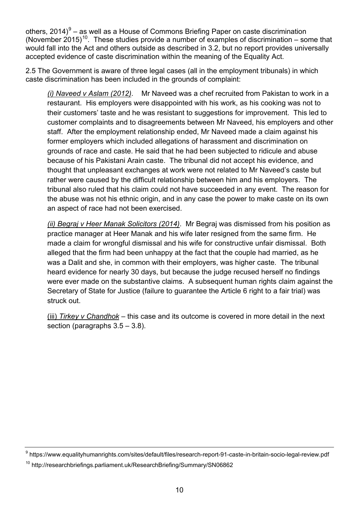others,  $2014$ <sup>[9](#page-8-2)</sup> – as well as a House of Commons Briefing Paper on caste discrimination (November 2015)[10](#page-9-0). These studies provide a number of examples of discrimination – some that would fall into the Act and others outside as described in 3.2, but no report provides universally accepted evidence of caste discrimination within the meaning of the Equality Act.

2.5 The Government is aware of three legal cases (all in the employment tribunals) in which caste discrimination has been included in the grounds of complaint:

*(i) Naveed v Aslam (2012)*. Mr Naveed was a chef recruited from Pakistan to work in a restaurant. His employers were disappointed with his work, as his cooking was not to their customers' taste and he was resistant to suggestions for improvement. This led to customer complaints and to disagreements between Mr Naveed, his employers and other staff. After the employment relationship ended, Mr Naveed made a claim against his former employers which included allegations of harassment and discrimination on grounds of race and caste. He said that he had been subjected to ridicule and abuse because of his Pakistani Arain caste. The tribunal did not accept his evidence, and thought that unpleasant exchanges at work were not related to Mr Naveed's caste but rather were caused by the difficult relationship between him and his employers. The tribunal also ruled that his claim could not have succeeded in any event. The reason for the abuse was not his ethnic origin, and in any case the power to make caste on its own an aspect of race had not been exercised.

*(ii) Begraj v Heer Manak Solicitors (2014)*. Mr Begraj was dismissed from his position as practice manager at Heer Manak and his wife later resigned from the same firm. He made a claim for wrongful dismissal and his wife for constructive unfair dismissal. Both alleged that the firm had been unhappy at the fact that the couple had married, as he was a Dalit and she, in common with their employers, was higher caste. The tribunal heard evidence for nearly 30 days, but because the judge recused herself no findings were ever made on the substantive claims. A subsequent human rights claim against the Secretary of State for Justice (failure to guarantee the Article 6 right to a fair trial) was struck out.

(iii) *Tirkey v Chandhok* – this case and its outcome is covered in more detail in the next section (paragraphs  $3.5 - 3.8$ ).

<span id="page-9-1"></span><span id="page-9-0"></span><sup>9</sup> https://www.equalityhumanrights.com/sites/default/files/research-report-91-caste-in-britain-socio-legal-review.pdf <sup>10</sup> http://researchbriefings.parliament.uk/ResearchBriefing/Summary/SN06862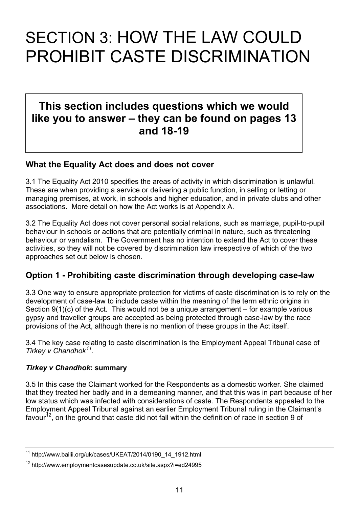## <span id="page-10-0"></span>SECTION 3: HOW THE LAW COULD PROHIBIT CASTE DISCRIMINATION

### **This section includes questions which we would like you to answer – they can be found on pages 13 and 18-19**

#### **What the Equality Act does and does not cover**

3.1 The Equality Act 2010 specifies the areas of activity in which discrimination is unlawful. These are when providing a service or delivering a public function, in selling or letting or managing premises, at work, in schools and higher education, and in private clubs and other associations. More detail on how the Act works is at Appendix A.

3.2 The Equality Act does not cover personal social relations, such as marriage, pupil-to-pupil behaviour in schools or actions that are potentially criminal in nature, such as threatening behaviour or vandalism. The Government has no intention to extend the Act to cover these activities, so they will not be covered by discrimination law irrespective of which of the two approaches set out below is chosen.

#### **Option 1 - Prohibiting caste discrimination through developing case-law**

3.3 One way to ensure appropriate protection for victims of caste discrimination is to rely on the development of case-law to include caste within the meaning of the term ethnic origins in Section 9(1)(c) of the Act. This would not be a unique arrangement – for example various gypsy and traveller groups are accepted as being protected through case-law by the race provisions of the Act, although there is no mention of these groups in the Act itself.

3.4 The key case relating to caste discrimination is the Employment Appeal Tribunal case of *Tirkey v Chandhok[11](#page-9-1)*.

#### *Tirkey v Chandhok***: summary**

3.5 In this case the Claimant worked for the Respondents as a domestic worker. She claimed that they treated her badly and in a demeaning manner, and that this was in part because of her low status which was infected with considerations of caste. The Respondents appealed to the Employment Appeal Tribunal against an earlier Employment Tribunal ruling in the Claimant's favour $^{12}$  $^{12}$  $^{12}$ , on the ground that caste did not fall within the definition of race in section 9 of

<span id="page-10-2"></span><sup>11</sup> http://www.bailii.org/uk/cases/UKEAT/2014/0190\_14\_1912.html

<span id="page-10-1"></span><sup>12</sup> http://www.employmentcasesupdate.co.uk/site.aspx?i=ed24995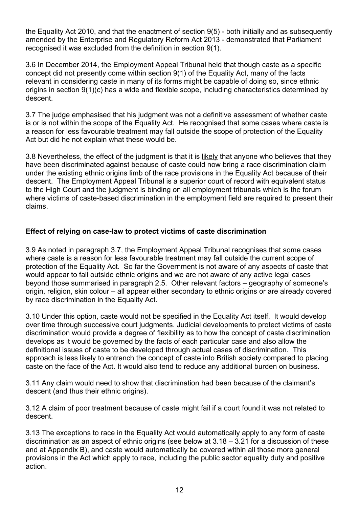the Equality Act 2010, and that the enactment of section 9(5) - both initially and as subsequently amended by the Enterprise and Regulatory Reform Act 2013 - demonstrated that Parliament recognised it was excluded from the definition in section 9(1).

3.6 In December 2014, the Employment Appeal Tribunal held that though caste as a specific concept did not presently come within section 9(1) of the Equality Act, many of the facts relevant in considering caste in many of its forms might be capable of doing so, since ethnic origins in section 9(1)(c) has a wide and flexible scope, including characteristics determined by descent.

3.7 The judge emphasised that his judgment was not a definitive assessment of whether caste is or is not within the scope of the Equality Act. He recognised that some cases where caste is a reason for less favourable treatment may fall outside the scope of protection of the Equality Act but did he not explain what these would be.

3.8 Nevertheless, the effect of the judgment is that it is likely that anyone who believes that they have been discriminated against because of caste could now bring a race discrimination claim under the existing ethnic origins limb of the race provisions in the Equality Act because of their descent. The Employment Appeal Tribunal is a superior court of record with equivalent status to the High Court and the judgment is binding on all employment tribunals which is the forum where victims of caste-based discrimination in the employment field are required to present their claims.

#### **Effect of relying on case-law to protect victims of caste discrimination**

3.9 As noted in paragraph 3.7, the Employment Appeal Tribunal recognises that some cases where caste is a reason for less favourable treatment may fall outside the current scope of protection of the Equality Act. So far the Government is not aware of any aspects of caste that would appear to fall outside ethnic origins and we are not aware of any active legal cases beyond those summarised in paragraph 2.5. Other relevant factors – geography of someone's origin, religion, skin colour – all appear either secondary to ethnic origins or are already covered by race discrimination in the Equality Act.

3.10 Under this option, caste would not be specified in the Equality Act itself. It would develop over time through successive court judgments. Judicial developments to protect victims of caste discrimination would provide a degree of flexibility as to how the concept of caste discrimination develops as it would be governed by the facts of each particular case and also allow the definitional issues of caste to be developed through actual cases of discrimination. This approach is less likely to entrench the concept of caste into British society compared to placing caste on the face of the Act. It would also tend to reduce any additional burden on business.

3.11 Any claim would need to show that discrimination had been because of the claimant's descent (and thus their ethnic origins).

3.12 A claim of poor treatment because of caste might fail if a court found it was not related to descent.

3.13 The exceptions to race in the Equality Act would automatically apply to any form of caste discrimination as an aspect of ethnic origins (see below at 3.18 – 3.21 for a discussion of these and at Appendix B), and caste would automatically be covered within all those more general provisions in the Act which apply to race, including the public sector equality duty and positive action.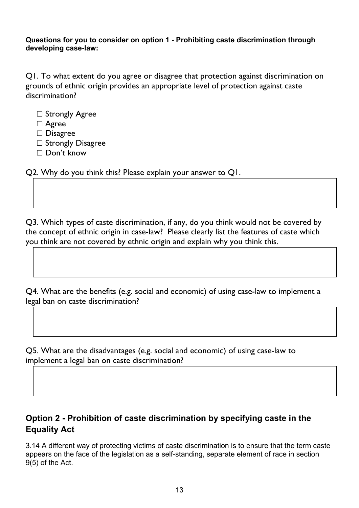**Questions for you to consider on option 1 - Prohibiting caste discrimination through developing case-law:** 

Q1. To what extent do you agree or disagree that protection against discrimination on grounds of ethnic origin provides an appropriate level of protection against caste discrimination?

- $\Box$  Strongly Agree
- Agree
- $\square$  Disagree
- $\square$  Strongly Disagree
- □ Don't know

Q2. Why do you think this? Please explain your answer to Q1.

Q3. Which types of caste discrimination, if any, do you think would not be covered by the concept of ethnic origin in case-law? Please clearly list the features of caste which you think are not covered by ethnic origin and explain why you think this.

Q4. What are the benefits (e.g. social and economic) of using case-law to implement a legal ban on caste discrimination?

Q5. What are the disadvantages (e.g. social and economic) of using case-law to implement a legal ban on caste discrimination?

### **Option 2 - Prohibition of caste discrimination by specifying caste in the Equality Act**

3.14 A different way of protecting victims of caste discrimination is to ensure that the term caste appears on the face of the legislation as a self-standing, separate element of race in section 9(5) of the Act.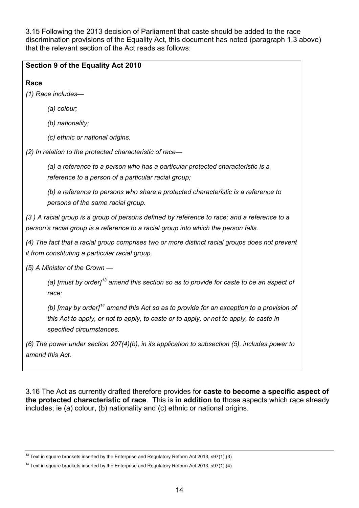3.15 Following the 2013 decision of Parliament that caste should be added to the race discrimination provisions of the Equality Act, this document has noted (paragraph 1.3 above) that the relevant section of the Act reads as follows:

| Section 9 of the Equality Act 2010                                                                                                                                                                                        |  |  |
|---------------------------------------------------------------------------------------------------------------------------------------------------------------------------------------------------------------------------|--|--|
| Race                                                                                                                                                                                                                      |  |  |
| $(1)$ Race includes-                                                                                                                                                                                                      |  |  |
| (a) colour;                                                                                                                                                                                                               |  |  |
| (b) nationality;                                                                                                                                                                                                          |  |  |
| (c) ethnic or national origins.                                                                                                                                                                                           |  |  |
| (2) In relation to the protected characteristic of race-                                                                                                                                                                  |  |  |
| (a) a reference to a person who has a particular protected characteristic is a<br>reference to a person of a particular racial group;                                                                                     |  |  |
| (b) a reference to persons who share a protected characteristic is a reference to<br>persons of the same racial group.                                                                                                    |  |  |
| (3) A racial group is a group of persons defined by reference to race; and a reference to a<br>person's racial group is a reference to a racial group into which the person falls.                                        |  |  |
| (4) The fact that a racial group comprises two or more distinct racial groups does not prevent<br>it from constituting a particular racial group.                                                                         |  |  |
| (5) A Minister of the Crown -                                                                                                                                                                                             |  |  |
| (a) [must by order] <sup>13</sup> amend this section so as to provide for caste to be an aspect of<br>race:                                                                                                               |  |  |
| (b) [may by order] <sup>14</sup> amend this Act so as to provide for an exception to a provision of<br>this Act to apply, or not to apply, to caste or to apply, or not to apply, to caste in<br>specified circumstances. |  |  |
| (6) The power under section 207(4)(b), in its application to subsection (5), includes power to<br>amend this Act.                                                                                                         |  |  |

3.16 The Act as currently drafted therefore provides for **caste to become a specific aspect of the protected characteristic of race**. This is **in addition to** those aspects which race already includes; ie (a) colour, (b) nationality and (c) ethnic or national origins.

<span id="page-13-1"></span><sup>&</sup>lt;sup>13</sup> Text in square brackets inserted by the Enterprise and Regulatory Reform Act 2013, s97(1),(3)

<span id="page-13-0"></span><sup>&</sup>lt;sup>14</sup> Text in square brackets inserted by the Enterprise and Regulatory Reform Act 2013, s97(1), (4)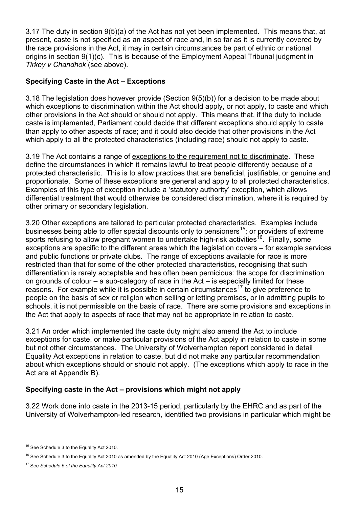3.17 The duty in section 9(5)(a) of the Act has not yet been implemented. This means that, at present, caste is not specified as an aspect of race and, in so far as it is currently covered by the race provisions in the Act, it may in certain circumstances be part of ethnic or national origins in section 9(1)(c). This is because of the Employment Appeal Tribunal judgment in *Tirkey v Chandhok* (see above).

#### **Specifying Caste in the Act – Exceptions**

3.18 The legislation does however provide (Section 9(5)(b)) for a decision to be made about which exceptions to discrimination within the Act should apply, or not apply, to caste and which other provisions in the Act should or should not apply. This means that, if the duty to include caste is implemented, Parliament could decide that different exceptions should apply to caste than apply to other aspects of race; and it could also decide that other provisions in the Act which apply to all the protected characteristics (including race) should not apply to caste.

3.19 The Act contains a range of exceptions to the requirement not to discriminate. These define the circumstances in which it remains lawful to treat people differently because of a protected characteristic. This is to allow practices that are beneficial, justifiable, or genuine and proportionate. Some of these exceptions are general and apply to all protected characteristics. Examples of this type of exception include a 'statutory authority' exception, which allows differential treatment that would otherwise be considered discrimination, where it is required by other primary or secondary legislation.

3.20 Other exceptions are tailored to particular protected characteristics. Examples include businesses being able to offer special discounts only to pensioners<sup>15</sup>; or providers of extreme sports refusing to allow pregnant women to undertake high-risk activities<sup>[16](#page-14-0)</sup>. Finally, some exceptions are specific to the different areas which the legislation covers – for example services and public functions or private clubs. The range of exceptions available for race is more restricted than that for some of the other protected characteristics, recognising that such differentiation is rarely acceptable and has often been pernicious: the scope for discrimination on grounds of colour – a sub-category of race in the Act – is especially limited for these reasons. For example while it is possible in certain circumstances<sup>[17](#page-14-1)</sup> to give preference to people on the basis of sex or religion when selling or letting premises, or in admitting pupils to schools, it is not permissible on the basis of race. There are some provisions and exceptions in the Act that apply to aspects of race that may not be appropriate in relation to caste.

3.21 An order which implemented the caste duty might also amend the Act to include exceptions for caste, or make particular provisions of the Act apply in relation to caste in some but not other circumstances. The University of Wolverhampton report considered in detail Equality Act exceptions in relation to caste, but did not make any particular recommendation about which exceptions should or should not apply. (The exceptions which apply to race in the Act are at Appendix B).

#### **Specifying caste in the Act – provisions which might not apply**

3.22 Work done into caste in the 2013-15 period, particularly by the EHRC and as part of the University of Wolverhampton-led research, identified two provisions in particular which might be

<sup>&</sup>lt;sup>15</sup> See Schedule 3 to the Equality Act 2010.

<span id="page-14-0"></span><sup>&</sup>lt;sup>16</sup> See Schedule 3 to the Equality Act 2010 as amended by the Equality Act 2010 (Age Exceptions) Order 2010.

<span id="page-14-2"></span><span id="page-14-1"></span><sup>17</sup> See *Schedule 5 of the Equality Act 2010*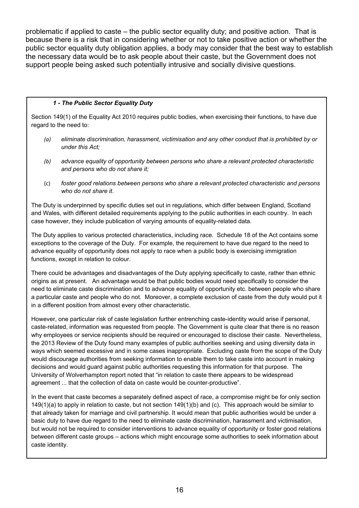problematic if applied to caste – the public sector equality duty; and positive action. That is because there is a risk that in considering whether or not to take positive action or whether the public sector equality duty obligation applies, a body may consider that the best way to establish the necessary data would be to ask people about their caste, but the Government does not support people being asked such potentially intrusive and socially divisive questions.

#### *1 - The Public Sector Equality Duty*

Section 149(1) of the Equality Act 2010 requires public bodies, when exercising their functions, to have due regard to the need to:

- *(a) eliminate discrimination, harassment, victimisation and any other conduct that is prohibited by or under this Act;*
- *(b) advance equality of opportunity between persons who share a relevant protected characteristic and persons who do not share it;*
- (c) *foster good relations between persons who share a relevant protected characteristic and persons who do not share it*.

The Duty is underpinned by specific duties set out in regulations, which differ between England, Scotland and Wales, with different detailed requirements applying to the public authorities in each country. In each case however, they include publication of varying amounts of equality-related data.

The Duty applies to various protected characteristics, including race. Schedule 18 of the Act contains some exceptions to the coverage of the Duty. For example, the requirement to have due regard to the need to advance equality of opportunity does not apply to race when a public body is exercising immigration functions, except in relation to colour.

There could be advantages and disadvantages of the Duty applying specifically to caste, rather than ethnic origins as at present. An advantage would be that public bodies would need specifically to consider the need to eliminate caste discrimination and to advance equality of opportunity etc. between people who share a particular caste and people who do not. Moreover, a complete exclusion of caste from the duty would put it in a different position from almost every other characteristic.

However, one particular risk of caste legislation further entrenching caste-identity would arise if personal, caste-related, information was requested from people. The Government is quite clear that there is no reason why employees or service recipients should be required or encouraged to disclose their caste. Nevertheless, the 2013 Review of the Duty found many examples of public authorities seeking and using diversity data in ways which seemed excessive and in some cases inappropriate. Excluding caste from the scope of the Duty would discourage authorities from seeking information to enable them to take caste into account in making decisions and would guard against public authorities requesting this information for that purpose. The University of Wolverhampton report noted that "in relation to caste there appears to be widespread agreement ... that the collection of data on caste would be counter-productive".

In the event that caste becomes a separately defined aspect of race, a compromise might be for only section 149(1)(a) to apply in relation to caste, but not section 149(1)(b) and (c). This approach would be similar to that already taken for marriage and civil partnership. It would mean that public authorities would be under a basic duty to have due regard to the need to eliminate caste discrimination, harassment and victimisation, but would not be required to consider interventions to advance equality of opportunity or foster good relations between different caste groups – actions which might encourage some authorities to seek information about caste identity.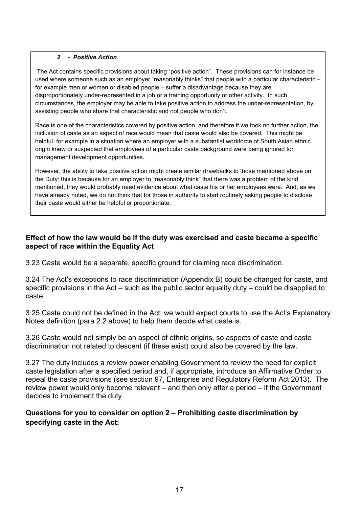#### *2 - Positive Action*

The Act contains specific provisions about taking "positive action". These provisions can for instance be used where someone such as an employer "reasonably thinks" that people with a particular characteristic – for example men or women or disabled people – suffer a disadvantage because they are disproportionately under-represented in a job or a training opportunity or other activity. In such circumstances, the employer may be able to take positive action to address the under-representation, by assisting people who share that characteristic and not people who don't.

Race is one of the characteristics covered by positive action, and therefore if we took no further action, the inclusion of caste as an aspect of race would mean that caste would also be covered. This might be helpful, for example in a situation where an employer with a substantial workforce of South Asian ethnic origin knew or suspected that employees of a particular caste background were being ignored for management development opportunities.

However, the ability to take positive action might create similar drawbacks to those mentioned above on the Duty: this is because for an employer to "reasonably think" that there was a problem of the kind mentioned, they would probably need evidence about what caste his or her employees were. And, as we have already noted, we do not think that for those in authority to start routinely asking people to disclose their caste would either be helpful or proportionate.

#### **Effect of how the law would be if the duty was exercised and caste became a specific aspect of race within the Equality Act**

3.23 Caste would be a separate, specific ground for claiming race discrimination.

3.24 The Act's exceptions to race discrimination (Appendix B) could be changed for caste, and specific provisions in the Act – such as the public sector equality duty – could be disapplied to caste.

3.25 Caste could not be defined in the Act: we would expect courts to use the Act's Explanatory Notes definition (para 2.2 above) to help them decide what caste is.

3.26 Caste would not simply be an aspect of ethnic origins, so aspects of caste and caste discrimination not related to descent (if these exist) could also be covered by the law.

3.27 The duty includes a review power enabling Government to review the need for explicit caste legislation after a specified period and, if appropriate, introduce an Affirmative Order to repeal the caste provisions (see section 97, Enterprise and Regulatory Reform Act 2013). The review power would only become relevant – and then only after a period – if the Government decides to implement the duty.

#### **Questions for you to consider on option 2 – Prohibiting caste discrimination by specifying caste in the Act:**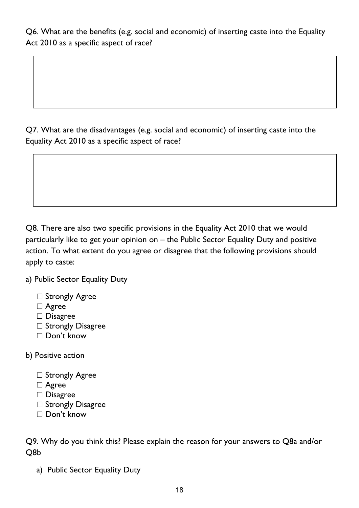Q6. What are the benefits (e.g. social and economic) of inserting caste into the Equality Act 2010 as a specific aspect of race?

Q7. What are the disadvantages (e.g. social and economic) of inserting caste into the Equality Act 2010 as a specific aspect of race?

Q8. There are also two specific provisions in the Equality Act 2010 that we would particularly like to get your opinion on – the Public Sector Equality Duty and positive action. To what extent do you agree or disagree that the following provisions should apply to caste:

a) Public Sector Equality Duty

- $\Box$  Strongly Agree
- Agree
- $\square$  Disagree
- $\square$  Strongly Disagree
- Don't know
- b) Positive action
	- $\square$  Strongly Agree
	- Agree
	- Disagree
	- $\square$  Strongly Disagree
	- Don't know

Q9. Why do you think this? Please explain the reason for your answers to Q8a and/or Q8b

a) Public Sector Equality Duty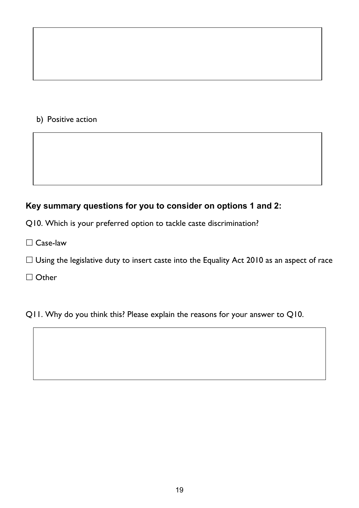#### b) Positive action

#### **Key summary questions for you to consider on options 1 and 2:**

Q10. Which is your preferred option to tackle caste discrimination?

- □ Case-law
- $\Box$  Using the legislative duty to insert caste into the Equality Act 2010 as an aspect of race
- $\Box$  Other

#### Q11. Why do you think this? Please explain the reasons for your answer to Q10.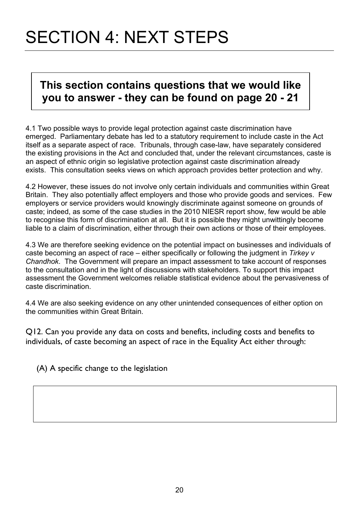# <span id="page-19-0"></span>SECTION 4: NEXT STEPS

### **This section contains questions that we would like you to answer - they can be found on page 20 - 21**

4.1 Two possible ways to provide legal protection against caste discrimination have emerged. Parliamentary debate has led to a statutory requirement to include caste in the Act itself as a separate aspect of race. Tribunals, through case-law, have separately considered the existing provisions in the Act and concluded that, under the relevant circumstances, caste is an aspect of ethnic origin so legislative protection against caste discrimination already exists. This consultation seeks views on which approach provides better protection and why.

4.2 However, these issues do not involve only certain individuals and communities within Great Britain. They also potentially affect employers and those who provide goods and services. Few employers or service providers would knowingly discriminate against someone on grounds of caste; indeed, as some of the case studies in the 2010 NIESR report show, few would be able to recognise this form of discrimination at all. But it is possible they might unwittingly become liable to a claim of discrimination, either through their own actions or those of their employees.

4.3 We are therefore seeking evidence on the potential impact on businesses and individuals of caste becoming an aspect of race – either specifically or following the judgment in *Tirkey v Chandhok*. The Government will prepare an impact assessment to take account of responses to the consultation and in the light of discussions with stakeholders. To support this impact assessment the Government welcomes reliable statistical evidence about the pervasiveness of caste discrimination.

4.4 We are also seeking evidence on any other unintended consequences of either option on the communities within Great Britain.

Q12. Can you provide any data on costs and benefits, including costs and benefits to individuals, of caste becoming an aspect of race in the Equality Act either through:

(A) A specific change to the legislation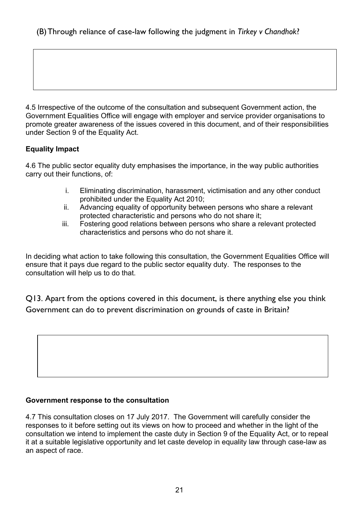4.5 Irrespective of the outcome of the consultation and subsequent Government action, the Government Equalities Office will engage with employer and service provider organisations to promote greater awareness of the issues covered in this document, and of their responsibilities under Section 9 of the Equality Act.

#### **Equality Impact**

4.6 The public sector equality duty emphasises the importance, in the way public authorities carry out their functions, of:

- i. Eliminating discrimination, harassment, victimisation and any other conduct prohibited under the Equality Act 2010;
- ii. Advancing equality of opportunity between persons who share a relevant protected characteristic and persons who do not share it;
- iii. Fostering good relations between persons who share a relevant protected characteristics and persons who do not share it.

In deciding what action to take following this consultation, the Government Equalities Office will ensure that it pays due regard to the public sector equality duty. The responses to the consultation will help us to do that.

Q13. Apart from the options covered in this document, is there anything else you think Government can do to prevent discrimination on grounds of caste in Britain?

#### **Government response to the consultation**

4.7 This consultation closes on 17 July 2017. The Government will carefully consider the responses to it before setting out its views on how to proceed and whether in the light of the consultation we intend to implement the caste duty in Section 9 of the Equality Act, or to repeal it at a suitable legislative opportunity and let caste develop in equality law through case-law as an aspect of race.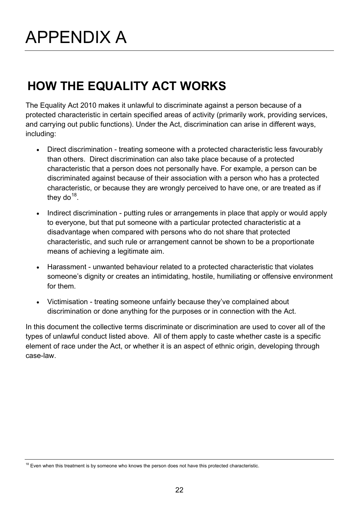### <span id="page-21-0"></span>**HOW THE EQUALITY ACT WORKS**

The Equality Act 2010 makes it unlawful to discriminate against a person because of a protected characteristic in certain specified areas of activity (primarily work, providing services, and carrying out public functions). Under the Act, discrimination can arise in different ways, including:

- Direct discrimination treating someone with a protected characteristic less favourably than others. Direct discrimination can also take place because of a protected characteristic that a person does not personally have. For example, a person can be discriminated against because of their association with a person who has a protected characteristic, or because they are wrongly perceived to have one, or are treated as if they do<sup>[18](#page-14-2)</sup>.
- Indirect discrimination putting rules or arrangements in place that apply or would apply to everyone, but that put someone with a particular protected characteristic at a disadvantage when compared with persons who do not share that protected characteristic, and such rule or arrangement cannot be shown to be a proportionate means of achieving a legitimate aim.
- Harassment unwanted behaviour related to a protected characteristic that violates someone's dignity or creates an intimidating, hostile, humiliating or offensive environment for them.
- Victimisation treating someone unfairly because they've complained about discrimination or done anything for the purposes or in connection with the Act.

In this document the collective terms discriminate or discrimination are used to cover all of the types of unlawful conduct listed above. All of them apply to caste whether caste is a specific element of race under the Act, or whether it is an aspect of ethnic origin, developing through case-law.

 $18$  Even when this treatment is by someone who knows the person does not have this protected characteristic.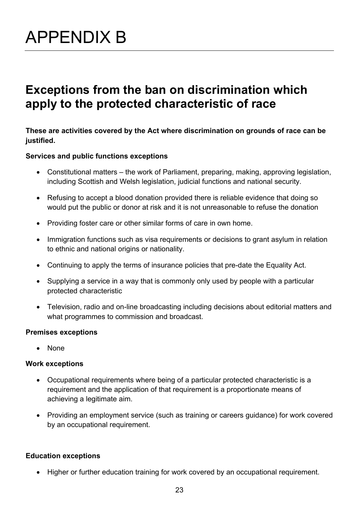# <span id="page-22-0"></span>APPENDIX B

### **Exceptions from the ban on discrimination which apply to the protected characteristic of race**

**These are activities covered by the Act where discrimination on grounds of race can be justified.** 

#### **Services and public functions exceptions**

- Constitutional matters the work of Parliament, preparing, making, approving legislation, including Scottish and Welsh legislation, judicial functions and national security.
- Refusing to accept a blood donation provided there is reliable evidence that doing so would put the public or donor at risk and it is not unreasonable to refuse the donation
- Providing foster care or other similar forms of care in own home.
- Immigration functions such as visa requirements or decisions to grant asylum in relation to ethnic and national origins or nationality.
- Continuing to apply the terms of insurance policies that pre-date the Equality Act.
- Supplying a service in a way that is commonly only used by people with a particular protected characteristic
- Television, radio and on-line broadcasting including decisions about editorial matters and what programmes to commission and broadcast.

#### **Premises exceptions**

• None

#### **Work exceptions**

- Occupational requirements where being of a particular protected characteristic is a requirement and the application of that requirement is a proportionate means of achieving a legitimate aim.
- Providing an employment service (such as training or careers guidance) for work covered by an occupational requirement.

#### **Education exceptions**

• Higher or further education training for work covered by an occupational requirement.